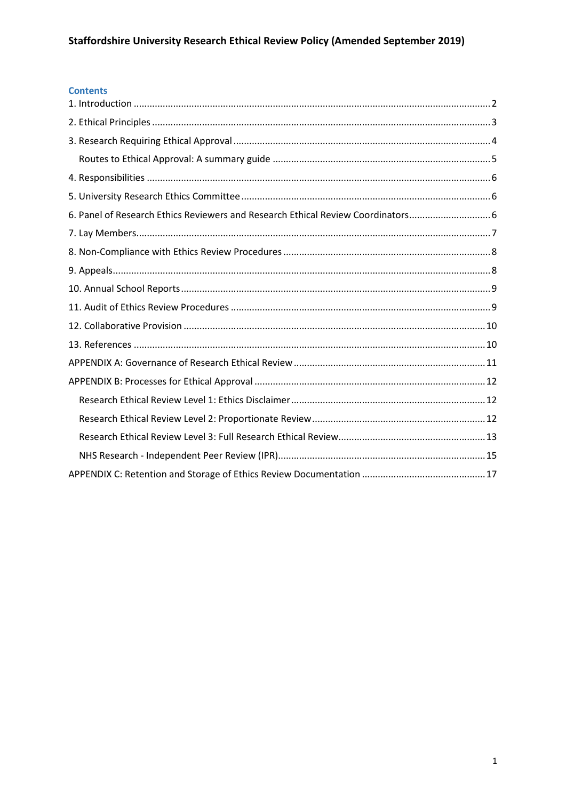# **Contents**

| 6. Panel of Research Ethics Reviewers and Research Ethical Review Coordinators 6 |  |
|----------------------------------------------------------------------------------|--|
|                                                                                  |  |
|                                                                                  |  |
|                                                                                  |  |
|                                                                                  |  |
|                                                                                  |  |
|                                                                                  |  |
|                                                                                  |  |
|                                                                                  |  |
|                                                                                  |  |
|                                                                                  |  |
|                                                                                  |  |
|                                                                                  |  |
|                                                                                  |  |
|                                                                                  |  |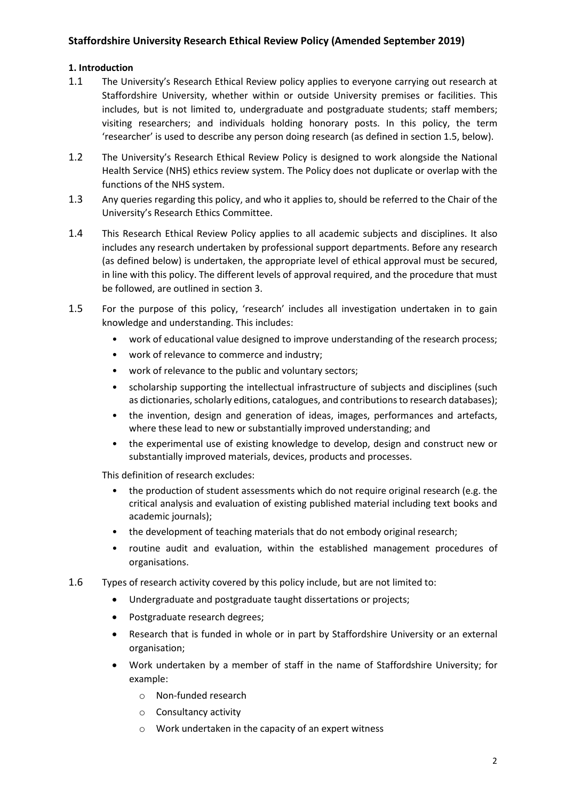# **Staffordshire University Research Ethical Review Policy (Amended September 2019)**

## <span id="page-1-0"></span>**1. Introduction**

- 1.1 The University's Research Ethical Review policy applies to everyone carrying out research at Staffordshire University, whether within or outside University premises or facilities. This includes, but is not limited to, undergraduate and postgraduate students; staff members; visiting researchers; and individuals holding honorary posts. In this policy, the term 'researcher' is used to describe any person doing research (as defined in section 1.5, below).
- 1.2 The University's Research Ethical Review Policy is designed to work alongside the National Health Service (NHS) ethics review system. The Policy does not duplicate or overlap with the functions of the NHS system.
- 1.3 Any queries regarding this policy, and who it applies to, should be referred to the Chair of the University's Research Ethics Committee.
- 1.4 This Research Ethical Review Policy applies to all academic subjects and disciplines. It also includes any research undertaken by professional support departments. Before any research (as defined below) is undertaken, the appropriate level of ethical approval must be secured, in line with this policy. The different levels of approval required, and the procedure that must be followed, are outlined in section 3.
- 1.5 For the purpose of this policy, 'research' includes all investigation undertaken in to gain knowledge and understanding. This includes:
	- work of educational value designed to improve understanding of the research process;
	- work of relevance to commerce and industry;
	- work of relevance to the public and voluntary sectors;
	- scholarship supporting the intellectual infrastructure of subjects and disciplines (such as dictionaries, scholarly editions, catalogues, and contributions to research databases);
	- the invention, design and generation of ideas, images, performances and artefacts, where these lead to new or substantially improved understanding; and
	- the experimental use of existing knowledge to develop, design and construct new or substantially improved materials, devices, products and processes.

This definition of research excludes:

- the production of student assessments which do not require original research (e.g. the critical analysis and evaluation of existing published material including text books and academic journals);
- the development of teaching materials that do not embody original research;
- routine audit and evaluation, within the established management procedures of organisations.
- 1.6 Types of research activity covered by this policy include, but are not limited to:
	- Undergraduate and postgraduate taught dissertations or projects;
	- Postgraduate research degrees;
	- Research that is funded in whole or in part by Staffordshire University or an external organisation;
	- Work undertaken by a member of staff in the name of Staffordshire University; for example:
		- o Non-funded research
		- o Consultancy activity
		- o Work undertaken in the capacity of an expert witness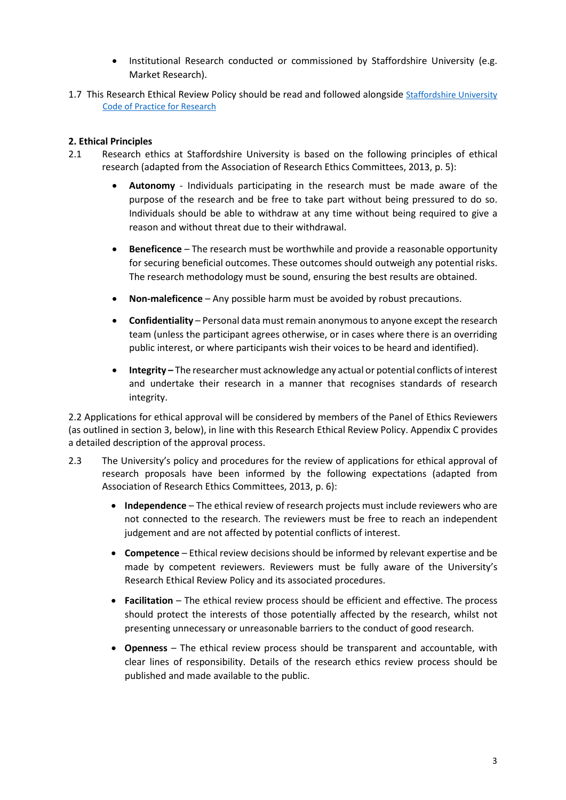- Institutional Research conducted or commissioned by Staffordshire University (e.g. Market Research).
- 1.7 This Research Ethical Review Policy should be read and followed alongside Staffordshire University [Code of Practice for Research](https://www.staffs.ac.uk/research/pdf/code-of-practice-for-research.pdf)

## <span id="page-2-0"></span>**2. Ethical Principles**

- 2.1 Research ethics at Staffordshire University is based on the following principles of ethical research (adapted from the Association of Research Ethics Committees, 2013, p. 5):
	- **Autonomy** Individuals participating in the research must be made aware of the purpose of the research and be free to take part without being pressured to do so. Individuals should be able to withdraw at any time without being required to give a reason and without threat due to their withdrawal.
	- **Beneficence** The research must be worthwhile and provide a reasonable opportunity for securing beneficial outcomes. These outcomes should outweigh any potential risks. The research methodology must be sound, ensuring the best results are obtained.
	- **Non-maleficence** Any possible harm must be avoided by robust precautions.
	- **Confidentiality** Personal data must remain anonymous to anyone except the research team (unless the participant agrees otherwise, or in cases where there is an overriding public interest, or where participants wish their voices to be heard and identified).
	- **Integrity –** The researcher must acknowledge any actual or potential conflicts of interest and undertake their research in a manner that recognises standards of research integrity.

2.2 Applications for ethical approval will be considered by members of the Panel of Ethics Reviewers (as outlined in section 3, below), in line with this Research Ethical Review Policy. Appendix C provides a detailed description of the approval process.

- 2.3 The University's policy and procedures for the review of applications for ethical approval of research proposals have been informed by the following expectations (adapted from Association of Research Ethics Committees, 2013, p. 6):
	- **Independence** The ethical review of research projects must include reviewers who are not connected to the research. The reviewers must be free to reach an independent judgement and are not affected by potential conflicts of interest.
	- **Competence** Ethical review decisions should be informed by relevant expertise and be made by competent reviewers. Reviewers must be fully aware of the University's Research Ethical Review Policy and its associated procedures.
	- **Facilitation** The ethical review process should be efficient and effective. The process should protect the interests of those potentially affected by the research, whilst not presenting unnecessary or unreasonable barriers to the conduct of good research.
	- **Openness** The ethical review process should be transparent and accountable, with clear lines of responsibility. Details of the research ethics review process should be published and made available to the public.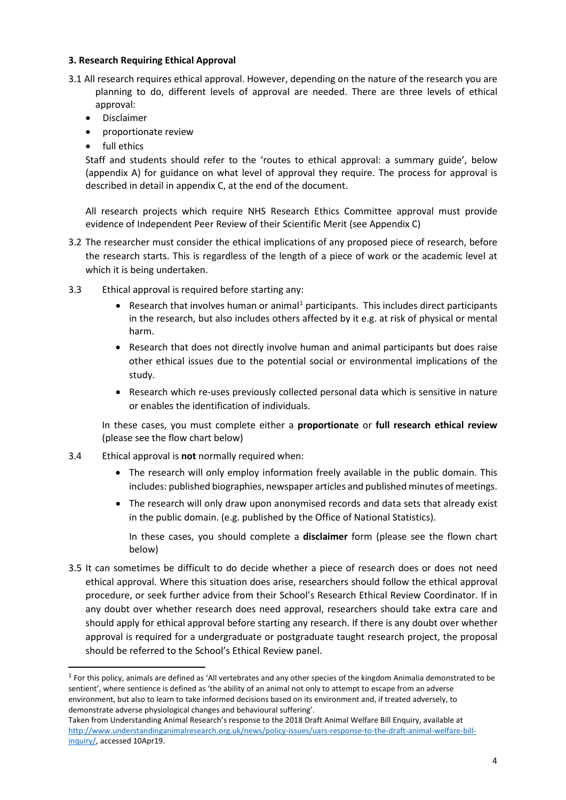## <span id="page-3-0"></span>**3. Research Requiring Ethical Approval**

- 3.1 All research requires ethical approval. However, depending on the nature of the research you are planning to do, different levels of approval are needed. There are three levels of ethical approval:
	- Disclaimer
	- proportionate review
	- full ethics

Staff and students should refer to the 'routes to ethical approval: a summary guide', below (appendix A) for guidance on what level of approval they require. The process for approval is described in detail in appendix C, at the end of the document.

All research projects which require NHS Research Ethics Committee approval must provide evidence of Independent Peer Review of their Scientific Merit (see Appendix C)

- 3.2 The researcher must consider the ethical implications of any proposed piece of research, before the research starts. This is regardless of the length of a piece of work or the academic level at which it is being undertaken.
- 3.3 Ethical approval is required before starting any:
	- Research that involves human or animal<sup>[1](#page-3-1)</sup> participants. This includes direct participants in the research, but also includes others affected by it e.g. at risk of physical or mental harm.
	- Research that does not directly involve human and animal participants but does raise other ethical issues due to the potential social or environmental implications of the study.
	- Research which re-uses previously collected personal data which is sensitive in nature or enables the identification of individuals.

In these cases, you must complete either a **proportionate** or **full research ethical review** (please see the flow chart below)

- 3.4 Ethical approval is **not** normally required when:
	- The research will only employ information freely available in the public domain. This includes: published biographies, newspaper articles and published minutes of meetings.
	- The research will only draw upon anonymised records and data sets that already exist in the public domain. (e.g. published by the Office of National Statistics).

In these cases, you should complete a **disclaimer** form (please see the flown chart below)

3.5 It can sometimes be difficult to do decide whether a piece of research does or does not need ethical approval. Where this situation does arise, researchers should follow the ethical approval procedure, or seek further advice from their School's Research Ethical Review Coordinator. If in any doubt over whether research does need approval, researchers should take extra care and should apply for ethical approval before starting any research. If there is any doubt over whether approval is required for a undergraduate or postgraduate taught research project, the proposal should be referred to the School's Ethical Review panel.

<span id="page-3-1"></span> $1$  For this policy, animals are defined as 'All vertebrates and any other species of the kingdom Animalia demonstrated to be sentient', where sentience is defined as 'the ability of an animal not only to attempt to escape from an adverse environment, but also to learn to take informed decisions based on its environment and, if treated adversely, to demonstrate adverse physiological changes and behavioural suffering'.

Taken from Understanding Animal Research's response to the 2018 Draft Animal Welfare Bill Enquiry, available at [http://www.understandinganimalresearch.org.uk/news/policy-issues/uars-response-to-the-draft-animal-welfare-bill](http://www.understandinganimalresearch.org.uk/news/policy-issues/uars-response-to-the-draft-animal-welfare-bill-inquiry/)[inquiry/,](http://www.understandinganimalresearch.org.uk/news/policy-issues/uars-response-to-the-draft-animal-welfare-bill-inquiry/) accessed 10Apr19.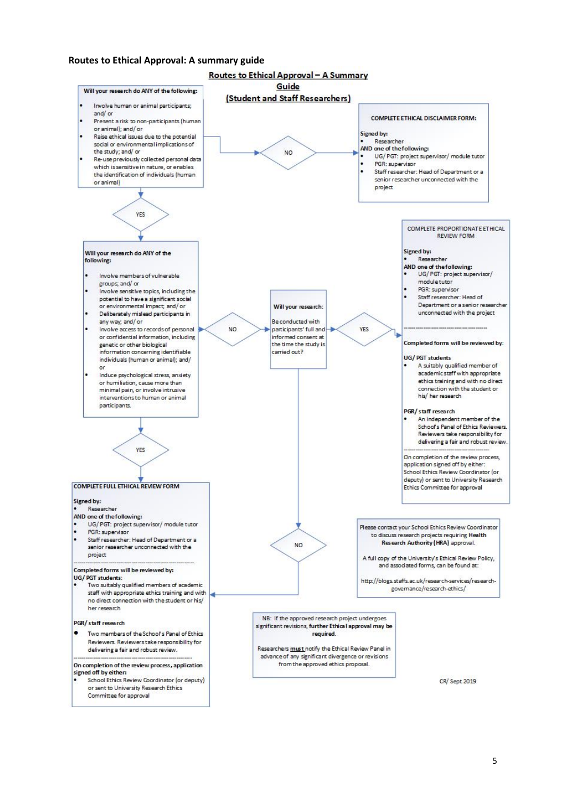#### <span id="page-4-0"></span>**Routes to Ethical Approval: A summary guide**

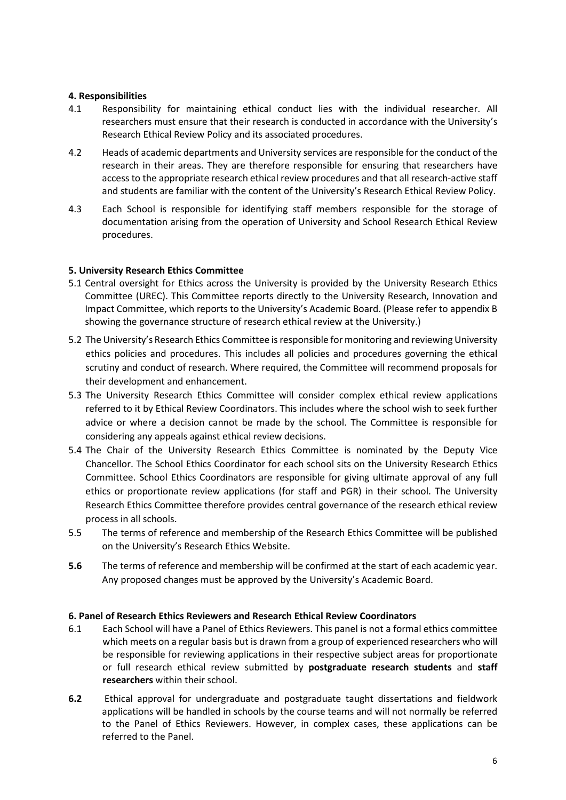## <span id="page-5-0"></span>**4. Responsibilities**

- 4.1 Responsibility for maintaining ethical conduct lies with the individual researcher. All researchers must ensure that their research is conducted in accordance with the University's Research Ethical Review Policy and its associated procedures.
- 4.2 Heads of academic departments and University services are responsible for the conduct of the research in their areas. They are therefore responsible for ensuring that researchers have access to the appropriate research ethical review procedures and that all research-active staff and students are familiar with the content of the University's Research Ethical Review Policy.
- 4.3 Each School is responsible for identifying staff members responsible for the storage of documentation arising from the operation of University and School Research Ethical Review procedures.

## <span id="page-5-1"></span>**5. University Research Ethics Committee**

- 5.1 Central oversight for Ethics across the University is provided by the University Research Ethics Committee (UREC). This Committee reports directly to the University Research, Innovation and Impact Committee, which reports to the University's Academic Board. (Please refer to appendix B showing the governance structure of research ethical review at the University.)
- 5.2 The University's Research Ethics Committee is responsible for monitoring and reviewing University ethics policies and procedures. This includes all policies and procedures governing the ethical scrutiny and conduct of research. Where required, the Committee will recommend proposals for their development and enhancement.
- 5.3 The University Research Ethics Committee will consider complex ethical review applications referred to it by Ethical Review Coordinators. This includes where the school wish to seek further advice or where a decision cannot be made by the school. The Committee is responsible for considering any appeals against ethical review decisions.
- 5.4 The Chair of the University Research Ethics Committee is nominated by the Deputy Vice Chancellor. The School Ethics Coordinator for each school sits on the University Research Ethics Committee. School Ethics Coordinators are responsible for giving ultimate approval of any full ethics or proportionate review applications (for staff and PGR) in their school. The University Research Ethics Committee therefore provides central governance of the research ethical review process in all schools.
- 5.5 The terms of reference and membership of the Research Ethics Committee will be published on the University's Research Ethics Website.
- **5.6** The terms of reference and membership will be confirmed at the start of each academic year. Any proposed changes must be approved by the University's Academic Board.

#### <span id="page-5-2"></span>**6. Panel of Research Ethics Reviewers and Research Ethical Review Coordinators**

- 6.1 Each School will have a Panel of Ethics Reviewers. This panel is not a formal ethics committee which meets on a regular basis but is drawn from a group of experienced researchers who will be responsible for reviewing applications in their respective subject areas for proportionate or full research ethical review submitted by **postgraduate research students** and **staff researchers** within their school.
- **6.2** Ethical approval for undergraduate and postgraduate taught dissertations and fieldwork applications will be handled in schools by the course teams and will not normally be referred to the Panel of Ethics Reviewers. However, in complex cases, these applications can be referred to the Panel.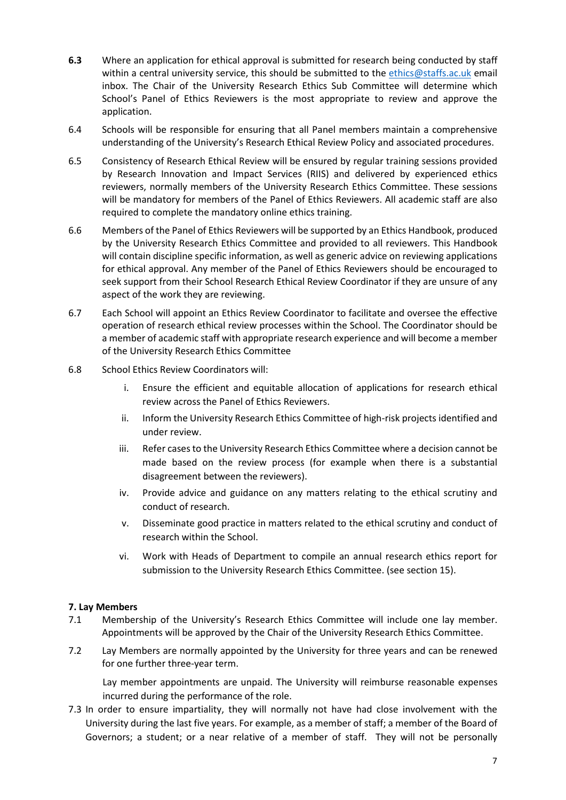- **6.3** Where an application for ethical approval is submitted for research being conducted by staff within a central university service, this should be submitted to the [ethics@staffs.ac.uk](mailto:ethics@staffs.ac.uk) email inbox. The Chair of the University Research Ethics Sub Committee will determine which School's Panel of Ethics Reviewers is the most appropriate to review and approve the application.
- 6.4 Schools will be responsible for ensuring that all Panel members maintain a comprehensive understanding of the University's Research Ethical Review Policy and associated procedures.
- 6.5 Consistency of Research Ethical Review will be ensured by regular training sessions provided by Research Innovation and Impact Services (RIIS) and delivered by experienced ethics reviewers, normally members of the University Research Ethics Committee. These sessions will be mandatory for members of the Panel of Ethics Reviewers. All academic staff are also required to complete the mandatory online ethics training.
- 6.6 Members of the Panel of Ethics Reviewers will be supported by an Ethics Handbook, produced by the University Research Ethics Committee and provided to all reviewers. This Handbook will contain discipline specific information, as well as generic advice on reviewing applications for ethical approval. Any member of the Panel of Ethics Reviewers should be encouraged to seek support from their School Research Ethical Review Coordinator if they are unsure of any aspect of the work they are reviewing.
- 6.7 Each School will appoint an Ethics Review Coordinator to facilitate and oversee the effective operation of research ethical review processes within the School. The Coordinator should be a member of academic staff with appropriate research experience and will become a member of the University Research Ethics Committee
- 6.8 School Ethics Review Coordinators will:
	- i. Ensure the efficient and equitable allocation of applications for research ethical review across the Panel of Ethics Reviewers.
	- ii. Inform the University Research Ethics Committee of high-risk projects identified and under review.
	- iii. Refer cases to the University Research Ethics Committee where a decision cannot be made based on the review process (for example when there is a substantial disagreement between the reviewers).
	- iv. Provide advice and guidance on any matters relating to the ethical scrutiny and conduct of research.
	- v. Disseminate good practice in matters related to the ethical scrutiny and conduct of research within the School.
	- vi. Work with Heads of Department to compile an annual research ethics report for submission to the University Research Ethics Committee. (see section 15).

## <span id="page-6-0"></span>**7. Lay Members**

- 7.1 Membership of the University's Research Ethics Committee will include one lay member. Appointments will be approved by the Chair of the University Research Ethics Committee.
- 7.2 Lay Members are normally appointed by the University for three years and can be renewed for one further three-year term.

Lay member appointments are unpaid. The University will reimburse reasonable expenses incurred during the performance of the role.

7.3 In order to ensure impartiality, they will normally not have had close involvement with the University during the last five years. For example, as a member of staff; a member of the Board of Governors; a student; or a near relative of a member of staff. They will not be personally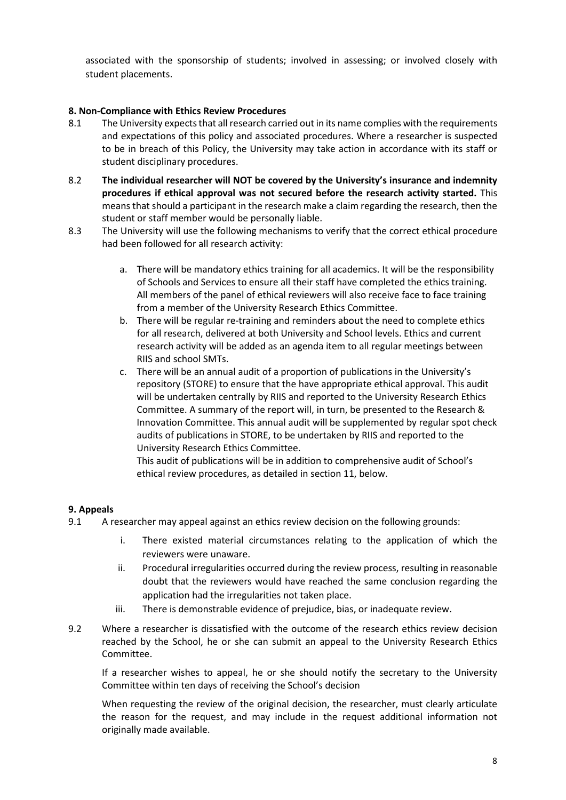associated with the sponsorship of students; involved in assessing; or involved closely with student placements.

## <span id="page-7-0"></span>**8. Non-Compliance with Ethics Review Procedures**

- 8.1 The University expects that all research carried out in its name complies with the requirements and expectations of this policy and associated procedures. Where a researcher is suspected to be in breach of this Policy, the University may take action in accordance with its staff or student disciplinary procedures.
- 8.2 **The individual researcher will NOT be covered by the University's insurance and indemnity procedures if ethical approval was not secured before the research activity started.** This means that should a participant in the research make a claim regarding the research, then the student or staff member would be personally liable.
- 8.3 The University will use the following mechanisms to verify that the correct ethical procedure had been followed for all research activity:
	- a. There will be mandatory ethics training for all academics. It will be the responsibility of Schools and Services to ensure all their staff have completed the ethics training. All members of the panel of ethical reviewers will also receive face to face training from a member of the University Research Ethics Committee.
	- b. There will be regular re-training and reminders about the need to complete ethics for all research, delivered at both University and School levels. Ethics and current research activity will be added as an agenda item to all regular meetings between RIIS and school SMTs.
	- c. There will be an annual audit of a proportion of publications in the University's repository (STORE) to ensure that the have appropriate ethical approval. This audit will be undertaken centrally by RIIS and reported to the University Research Ethics Committee. A summary of the report will, in turn, be presented to the Research & Innovation Committee. This annual audit will be supplemented by regular spot check audits of publications in STORE, to be undertaken by RIIS and reported to the University Research Ethics Committee.

This audit of publications will be in addition to comprehensive audit of School's ethical review procedures, as detailed in section 11, below.

#### <span id="page-7-1"></span>**9. Appeals**

- 9.1 A researcher may appeal against an ethics review decision on the following grounds:
	- i. There existed material circumstances relating to the application of which the reviewers were unaware.
	- ii. Procedural irregularities occurred during the review process, resulting in reasonable doubt that the reviewers would have reached the same conclusion regarding the application had the irregularities not taken place.
	- iii. There is demonstrable evidence of prejudice, bias, or inadequate review.
- 9.2 Where a researcher is dissatisfied with the outcome of the research ethics review decision reached by the School, he or she can submit an appeal to the University Research Ethics Committee.

If a researcher wishes to appeal, he or she should notify the secretary to the University Committee within ten days of receiving the School's decision

When requesting the review of the original decision, the researcher, must clearly articulate the reason for the request, and may include in the request additional information not originally made available.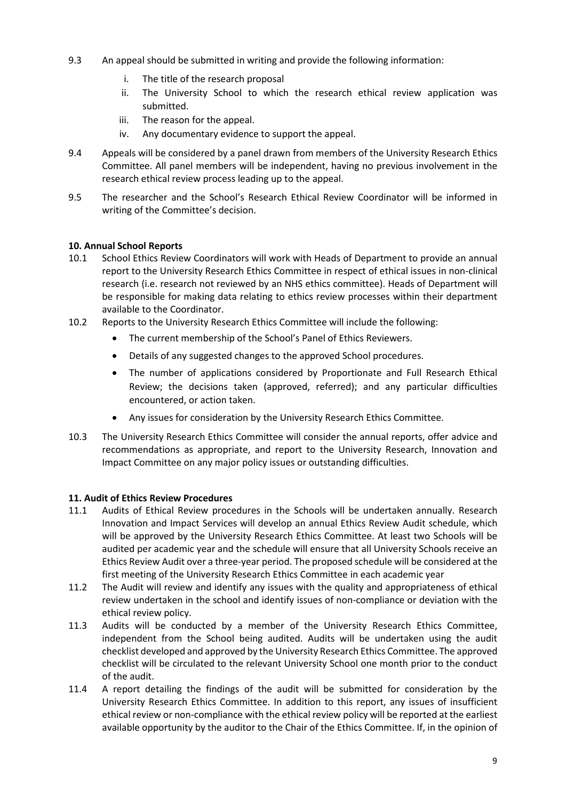- 9.3 An appeal should be submitted in writing and provide the following information:
	- i. The title of the research proposal
	- ii. The University School to which the research ethical review application was submitted.
	- iii. The reason for the appeal.
	- iv. Any documentary evidence to support the appeal.
- 9.4 Appeals will be considered by a panel drawn from members of the University Research Ethics Committee. All panel members will be independent, having no previous involvement in the research ethical review process leading up to the appeal.
- 9.5 The researcher and the School's Research Ethical Review Coordinator will be informed in writing of the Committee's decision.

# <span id="page-8-0"></span>**10. Annual School Reports**

- 10.1 School Ethics Review Coordinators will work with Heads of Department to provide an annual report to the University Research Ethics Committee in respect of ethical issues in non-clinical research (i.e. research not reviewed by an NHS ethics committee). Heads of Department will be responsible for making data relating to ethics review processes within their department available to the Coordinator.
- 10.2 Reports to the University Research Ethics Committee will include the following:
	- The current membership of the School's Panel of Ethics Reviewers.
	- Details of any suggested changes to the approved School procedures.
	- The number of applications considered by Proportionate and Full Research Ethical Review; the decisions taken (approved, referred); and any particular difficulties encountered, or action taken.
	- Any issues for consideration by the University Research Ethics Committee.
- 10.3 The University Research Ethics Committee will consider the annual reports, offer advice and recommendations as appropriate, and report to the University Research, Innovation and Impact Committee on any major policy issues or outstanding difficulties.

## <span id="page-8-1"></span>**11. Audit of Ethics Review Procedures**

- 11.1 Audits of Ethical Review procedures in the Schools will be undertaken annually. Research Innovation and Impact Services will develop an annual Ethics Review Audit schedule, which will be approved by the University Research Ethics Committee. At least two Schools will be audited per academic year and the schedule will ensure that all University Schools receive an Ethics Review Audit over a three-year period. The proposed schedule will be considered at the first meeting of the University Research Ethics Committee in each academic year
- 11.2 The Audit will review and identify any issues with the quality and appropriateness of ethical review undertaken in the school and identify issues of non-compliance or deviation with the ethical review policy.
- 11.3 Audits will be conducted by a member of the University Research Ethics Committee, independent from the School being audited. Audits will be undertaken using the audit checklist developed and approved by the University Research Ethics Committee. The approved checklist will be circulated to the relevant University School one month prior to the conduct of the audit.
- 11.4 A report detailing the findings of the audit will be submitted for consideration by the University Research Ethics Committee. In addition to this report, any issues of insufficient ethical review or non-compliance with the ethical review policy will be reported at the earliest available opportunity by the auditor to the Chair of the Ethics Committee. If, in the opinion of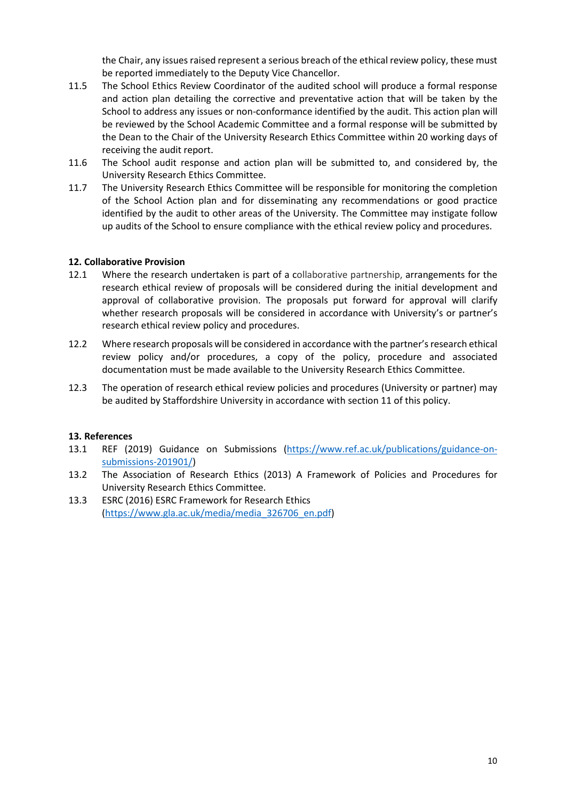the Chair, any issues raised represent a serious breach of the ethical review policy, these must be reported immediately to the Deputy Vice Chancellor.

- 11.5 The School Ethics Review Coordinator of the audited school will produce a formal response and action plan detailing the corrective and preventative action that will be taken by the School to address any issues or non-conformance identified by the audit. This action plan will be reviewed by the School Academic Committee and a formal response will be submitted by the Dean to the Chair of the University Research Ethics Committee within 20 working days of receiving the audit report.
- 11.6 The School audit response and action plan will be submitted to, and considered by, the University Research Ethics Committee.
- 11.7 The University Research Ethics Committee will be responsible for monitoring the completion of the School Action plan and for disseminating any recommendations or good practice identified by the audit to other areas of the University. The Committee may instigate follow up audits of the School to ensure compliance with the ethical review policy and procedures.

## <span id="page-9-0"></span>**12. Collaborative Provision**

- 12.1 Where the research undertaken is part of a collaborative partnership, arrangements for the research ethical review of proposals will be considered during the initial development and approval of collaborative provision. The proposals put forward for approval will clarify whether research proposals will be considered in accordance with University's or partner's research ethical review policy and procedures.
- 12.2 Where research proposals will be considered in accordance with the partner's research ethical review policy and/or procedures, a copy of the policy, procedure and associated documentation must be made available to the University Research Ethics Committee.
- <span id="page-9-1"></span>12.3 The operation of research ethical review policies and procedures (University or partner) may be audited by Staffordshire University in accordance with section 11 of this policy.

#### **13. References**

- 13.1 REF (2019) Guidance on Submissions [\(https://www.ref.ac.uk/publications/guidance-on](https://www.ref.ac.uk/publications/guidance-on-submissions-201901/)[submissions-201901/\)](https://www.ref.ac.uk/publications/guidance-on-submissions-201901/)
- 13.2 The Association of Research Ethics (2013) A Framework of Policies and Procedures for University Research Ethics Committee.
- 13.3 ESRC (2016) ESRC Framework for Research Ethics [\(https://www.gla.ac.uk/media/media\\_326706\\_en.pdf\)](https://www.gla.ac.uk/media/media_326706_en.pdf)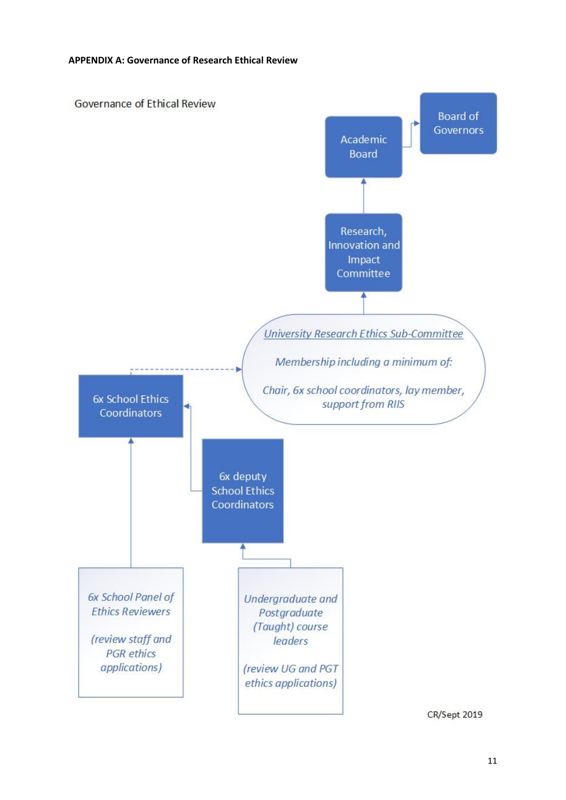<span id="page-10-0"></span>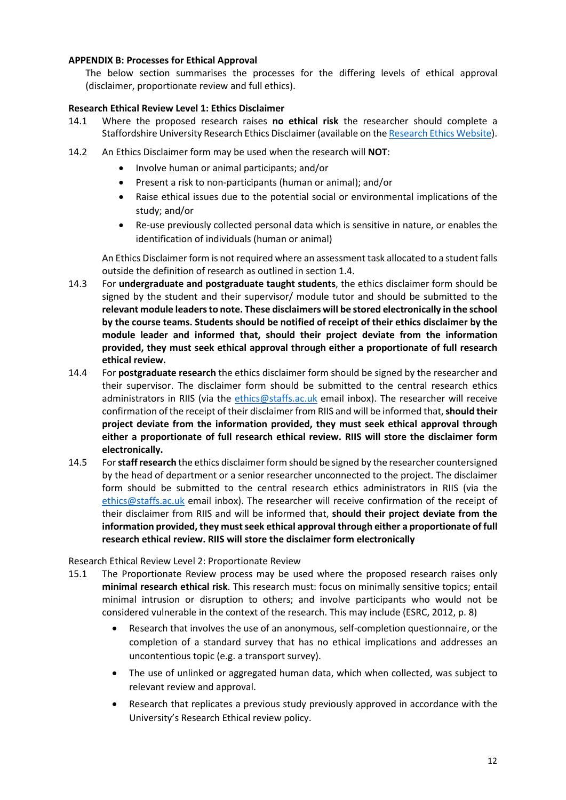## <span id="page-11-0"></span>**APPENDIX B: Processes for Ethical Approval**

The below section summarises the processes for the differing levels of ethical approval (disclaimer, proportionate review and full ethics).

## <span id="page-11-1"></span>**Research Ethical Review Level 1: Ethics Disclaimer**

- 14.1 Where the proposed research raises **no ethical risk** the researcher should complete a Staffordshire University Research Ethics Disclaimer (available on th[e Research Ethics Website\)](https://www.staffs.ac.uk/research/opportunities-for-academics/research-governance/research-ethics).
- 14.2 An Ethics Disclaimer form may be used when the research will **NOT**:
	- Involve human or animal participants; and/or
	- Present a risk to non-participants (human or animal); and/or
	- Raise ethical issues due to the potential social or environmental implications of the study; and/or
	- Re-use previously collected personal data which is sensitive in nature, or enables the identification of individuals (human or animal)

An Ethics Disclaimer form is not required where an assessment task allocated to a student falls outside the definition of research as outlined in section 1.4.

- 14.3 For **undergraduate and postgraduate taught students**, the ethics disclaimer form should be signed by the student and their supervisor/ module tutor and should be submitted to the **relevant module leadersto note. These disclaimers will be stored electronically in the school by the course teams. Students should be notified of receipt of their ethics disclaimer by the module leader and informed that, should their project deviate from the information provided, they must seek ethical approval through either a proportionate of full research ethical review.**
- 14.4 For **postgraduate research** the ethics disclaimer form should be signed by the researcher and their supervisor. The disclaimer form should be submitted to the central research ethics administrators in RIIS (via the [ethics@staffs.ac.uk](mailto:ethics@staffs.ac.uk) email inbox). The researcher will receive confirmation of the receipt of their disclaimer from RIIS and will be informed that, **should their project deviate from the information provided, they must seek ethical approval through either a proportionate of full research ethical review. RIIS will store the disclaimer form electronically.**
- 14.5 For **staff research** the ethics disclaimer form should be signed by the researcher countersigned by the head of department or a senior researcher unconnected to the project. The disclaimer form should be submitted to the central research ethics administrators in RIIS (via the [ethics@staffs.ac.uk](mailto:ethics@staffs.ac.uk) email inbox). The researcher will receive confirmation of the receipt of their disclaimer from RIIS and will be informed that, **should their project deviate from the information provided, they must seek ethical approval through either a proportionate of full research ethical review. RIIS will store the disclaimer form electronically**

<span id="page-11-2"></span>Research Ethical Review Level 2: Proportionate Review

- 15.1 The Proportionate Review process may be used where the proposed research raises only **minimal research ethical risk**. This research must: focus on minimally sensitive topics; entail minimal intrusion or disruption to others; and involve participants who would not be considered vulnerable in the context of the research. This may include (ESRC, 2012, p. 8)
	- Research that involves the use of an anonymous, self-completion questionnaire, or the completion of a standard survey that has no ethical implications and addresses an uncontentious topic (e.g. a transport survey).
	- The use of unlinked or aggregated human data, which when collected, was subject to relevant review and approval.
	- Research that replicates a previous study previously approved in accordance with the University's Research Ethical review policy.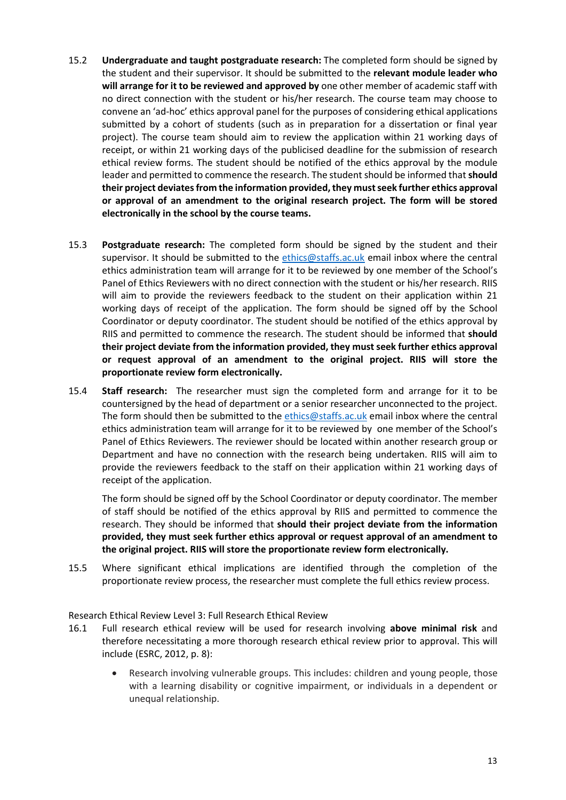- 15.2 **Undergraduate and taught postgraduate research:** The completed form should be signed by the student and their supervisor. It should be submitted to the **relevant module leader who will arrange for it to be reviewed and approved by** one other member of academic staff with no direct connection with the student or his/her research. The course team may choose to convene an 'ad-hoc' ethics approval panel for the purposes of considering ethical applications submitted by a cohort of students (such as in preparation for a dissertation or final year project). The course team should aim to review the application within 21 working days of receipt, or within 21 working days of the publicised deadline for the submission of research ethical review forms. The student should be notified of the ethics approval by the module leader and permitted to commence the research. The student should be informed that **should their project deviates from the information provided, they must seek further ethics approval or approval of an amendment to the original research project. The form will be stored electronically in the school by the course teams.**
- 15.3 **Postgraduate research:** The completed form should be signed by the student and their supervisor. It should be submitted to the [ethics@staffs.ac.uk](mailto:ethics@staffs.ac.uk) email inbox where the central ethics administration team will arrange for it to be reviewed by one member of the School's Panel of Ethics Reviewers with no direct connection with the student or his/her research. RIIS will aim to provide the reviewers feedback to the student on their application within 21 working days of receipt of the application. The form should be signed off by the School Coordinator or deputy coordinator. The student should be notified of the ethics approval by RIIS and permitted to commence the research. The student should be informed that **should their project deviate from the information provided, they must seek further ethics approval or request approval of an amendment to the original project. RIIS will store the proportionate review form electronically.**
- 15.4 **Staff research:** The researcher must sign the completed form and arrange for it to be countersigned by the head of department or a senior researcher unconnected to the project. The form should then be submitted to the [ethics@staffs.ac.uk](mailto:ethics@staffs.ac.uk) email inbox where the central ethics administration team will arrange for it to be reviewed by one member of the School's Panel of Ethics Reviewers. The reviewer should be located within another research group or Department and have no connection with the research being undertaken. RIIS will aim to provide the reviewers feedback to the staff on their application within 21 working days of receipt of the application.

The form should be signed off by the School Coordinator or deputy coordinator. The member of staff should be notified of the ethics approval by RIIS and permitted to commence the research. They should be informed that **should their project deviate from the information provided, they must seek further ethics approval or request approval of an amendment to the original project. RIIS will store the proportionate review form electronically.**

15.5 Where significant ethical implications are identified through the completion of the proportionate review process, the researcher must complete the full ethics review process.

<span id="page-12-0"></span>Research Ethical Review Level 3: Full Research Ethical Review

- 16.1 Full research ethical review will be used for research involving **above minimal risk** and therefore necessitating a more thorough research ethical review prior to approval. This will include (ESRC, 2012, p. 8):
	- Research involving vulnerable groups. This includes: children and young people, those with a learning disability or cognitive impairment, or individuals in a dependent or unequal relationship.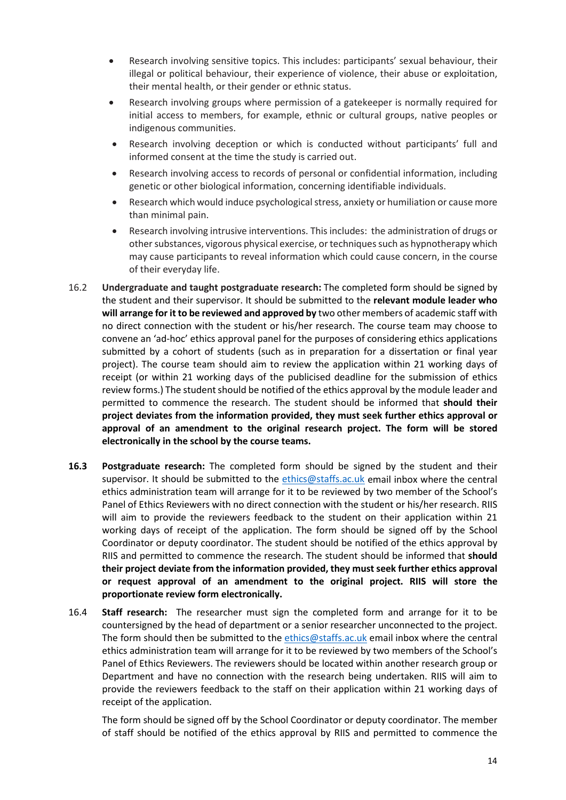- Research involving sensitive topics. This includes: participants' sexual behaviour, their illegal or political behaviour, their experience of violence, their abuse or exploitation, their mental health, or their gender or ethnic status.
- Research involving groups where permission of a gatekeeper is normally required for initial access to members, for example, ethnic or cultural groups, native peoples or indigenous communities.
- Research involving deception or which is conducted without participants' full and informed consent at the time the study is carried out.
- Research involving access to records of personal or confidential information, including genetic or other biological information, concerning identifiable individuals.
- Research which would induce psychological stress, anxiety or humiliation or cause more than minimal pain.
- Research involving intrusive interventions. This includes: the administration of drugs or other substances, vigorous physical exercise, or techniques such as hypnotherapy which may cause participants to reveal information which could cause concern, in the course of their everyday life.
- 16.2 **Undergraduate and taught postgraduate research:** The completed form should be signed by the student and their supervisor. It should be submitted to the **relevant module leader who will arrange for it to be reviewed and approved by** two other members of academic staff with no direct connection with the student or his/her research. The course team may choose to convene an 'ad-hoc' ethics approval panel for the purposes of considering ethics applications submitted by a cohort of students (such as in preparation for a dissertation or final year project). The course team should aim to review the application within 21 working days of receipt (or within 21 working days of the publicised deadline for the submission of ethics review forms.) The student should be notified of the ethics approval by the module leader and permitted to commence the research. The student should be informed that **should their project deviates from the information provided, they must seek further ethics approval or approval of an amendment to the original research project. The form will be stored electronically in the school by the course teams.**
- **16.3 Postgraduate research:** The completed form should be signed by the student and their supervisor. It should be submitted to the [ethics@staffs.ac.uk](mailto:ethics@staffs.ac.uk) email inbox where the central ethics administration team will arrange for it to be reviewed by two member of the School's Panel of Ethics Reviewers with no direct connection with the student or his/her research. RIIS will aim to provide the reviewers feedback to the student on their application within 21 working days of receipt of the application. The form should be signed off by the School Coordinator or deputy coordinator. The student should be notified of the ethics approval by RIIS and permitted to commence the research. The student should be informed that **should their project deviate from the information provided, they must seek further ethics approval or request approval of an amendment to the original project. RIIS will store the proportionate review form electronically.**
- 16.4 **Staff research:** The researcher must sign the completed form and arrange for it to be countersigned by the head of department or a senior researcher unconnected to the project. The form should then be submitted to the [ethics@staffs.ac.uk](mailto:ethics@staffs.ac.uk) email inbox where the central ethics administration team will arrange for it to be reviewed by two members of the School's Panel of Ethics Reviewers. The reviewers should be located within another research group or Department and have no connection with the research being undertaken. RIIS will aim to provide the reviewers feedback to the staff on their application within 21 working days of receipt of the application.

The form should be signed off by the School Coordinator or deputy coordinator. The member of staff should be notified of the ethics approval by RIIS and permitted to commence the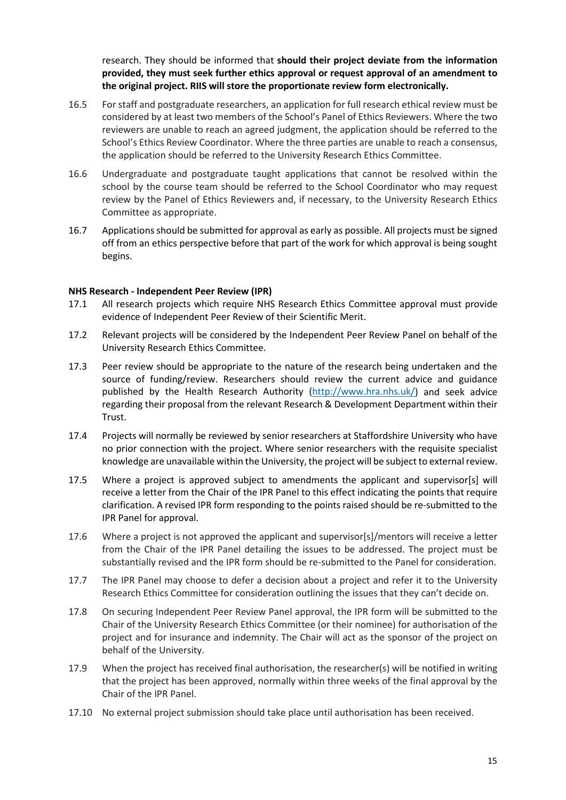research. They should be informed that **should their project deviate from the information provided, they must seek further ethics approval or request approval of an amendment to the original project. RIIS will store the proportionate review form electronically.**

- 16.5 For staff and postgraduate researchers, an application for full research ethical review must be considered by at least two members of the School's Panel of Ethics Reviewers. Where the two reviewers are unable to reach an agreed judgment, the application should be referred to the School's Ethics Review Coordinator. Where the three parties are unable to reach a consensus, the application should be referred to the University Research Ethics Committee.
- 16.6 Undergraduate and postgraduate taught applications that cannot be resolved within the school by the course team should be referred to the School Coordinator who may request review by the Panel of Ethics Reviewers and, if necessary, to the University Research Ethics Committee as appropriate.
- 16.7 Applications should be submitted for approval as early as possible. All projects must be signed off from an ethics perspective before that part of the work for which approval is being sought begins.

#### <span id="page-14-0"></span>**NHS Research - Independent Peer Review (IPR)**

- 17.1 All research projects which require NHS Research Ethics Committee approval must provide evidence of Independent Peer Review of their Scientific Merit.
- 17.2 Relevant projects will be considered by the Independent Peer Review Panel on behalf of the University Research Ethics Committee.
- 17.3 Peer review should be appropriate to the nature of the research being undertaken and the source of funding/review. Researchers should review the current advice and guidance published by the Health Research Authority [\(http://www.hra.nhs.uk/\)](http://www.hra.nhs.uk/) and seek advice regarding their proposal from the relevant Research & Development Department within their Trust.
- 17.4 Projects will normally be reviewed by senior researchers at Staffordshire University who have no prior connection with the project. Where senior researchers with the requisite specialist knowledge are unavailable within the University, the project will be subject to external review.
- 17.5 Where a project is approved subject to amendments the applicant and supervisor[s] will receive a letter from the Chair of the IPR Panel to this effect indicating the points that require clarification. A revised IPR form responding to the points raised should be re-submitted to the IPR Panel for approval.
- 17.6 Where a project is not approved the applicant and supervisor[s]/mentors will receive a letter from the Chair of the IPR Panel detailing the issues to be addressed. The project must be substantially revised and the IPR form should be re-submitted to the Panel for consideration.
- 17.7 The IPR Panel may choose to defer a decision about a project and refer it to the University Research Ethics Committee for consideration outlining the issues that they can't decide on.
- 17.8 On securing Independent Peer Review Panel approval, the IPR form will be submitted to the Chair of the University Research Ethics Committee (or their nominee) for authorisation of the project and for insurance and indemnity. The Chair will act as the sponsor of the project on behalf of the University.
- 17.9 When the project has received final authorisation, the researcher(s) will be notified in writing that the project has been approved, normally within three weeks of the final approval by the Chair of the IPR Panel.
- 17.10 No external project submission should take place until authorisation has been received.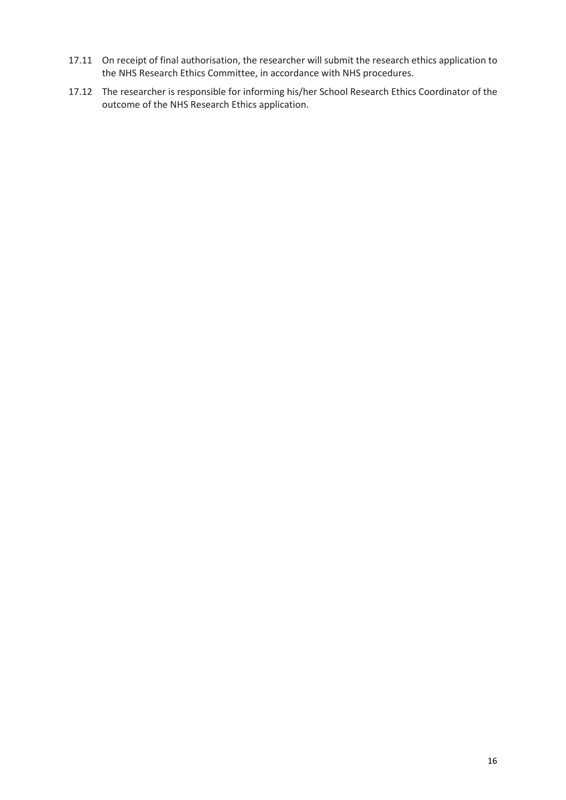- 17.11 On receipt of final authorisation, the researcher will submit the research ethics application to the NHS Research Ethics Committee, in accordance with NHS procedures.
- 17.12 The researcher is responsible for informing his/her School Research Ethics Coordinator of the outcome of the NHS Research Ethics application.